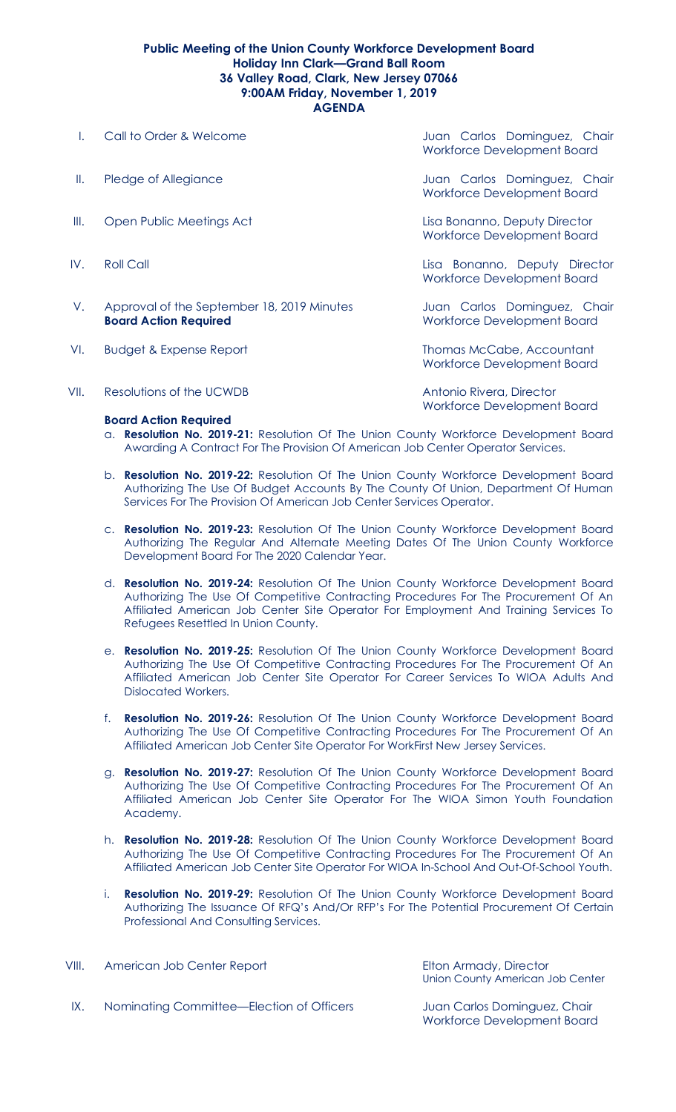## **Public Meeting of the Union County Workforce Development Board Holiday Inn Clark—Grand Ball Room 36 Valley Road, Clark, New Jersey 07066 9:00AM Friday, November 1, 2019 AGENDA**

- 
- 
- III. Open Public Meetings Act Lisa Bonanno, Deputy Director
- 
- V. Approval of the September 18, 2019 Minutes Juan Carlos Dominguez, Chair **Board Action Required Board Action Required** Workforce Development Board
- VI. Budget & Expense Report **Thomas McCabe, Accountant**

VII. Resolutions of the UCWDB Resolutions of the UCWDB Antonio Rivera, Director

## **Board Action Required**

I. Call to Order & Welcome **State Accompany** Juan Carlos Dominguez, Chair Workforce Development Board

II. Pledge of Allegiance **II. In the Carlos Dominguez**, Chair Workforce Development Board

Workforce Development Board

IV. Roll Call Lisa Bonanno, Deputy Director Workforce Development Board

Workforce Development Board

Workforce Development Board

- a. **Resolution No. 2019-21:** Resolution Of The Union County Workforce Development Board Awarding A Contract For The Provision Of American Job Center Operator Services.
- b. **Resolution No. 2019-22:** Resolution Of The Union County Workforce Development Board Authorizing The Use Of Budget Accounts By The County Of Union, Department Of Human Services For The Provision Of American Job Center Services Operator.
- c. **Resolution No. 2019-23:** Resolution Of The Union County Workforce Development Board Authorizing The Regular And Alternate Meeting Dates Of The Union County Workforce Development Board For The 2020 Calendar Year.
- d. **Resolution No. 2019-24:** Resolution Of The Union County Workforce Development Board Authorizing The Use Of Competitive Contracting Procedures For The Procurement Of An Affiliated American Job Center Site Operator For Employment And Training Services To Refugees Resettled In Union County.
- e. **Resolution No. 2019-25:** Resolution Of The Union County Workforce Development Board Authorizing The Use Of Competitive Contracting Procedures For The Procurement Of An Affiliated American Job Center Site Operator For Career Services To WIOA Adults And Dislocated Workers.
- f. **Resolution No. 2019-26:** Resolution Of The Union County Workforce Development Board Authorizing The Use Of Competitive Contracting Procedures For The Procurement Of An Affiliated American Job Center Site Operator For WorkFirst New Jersey Services.
- g. **Resolution No. 2019-27:** Resolution Of The Union County Workforce Development Board Authorizing The Use Of Competitive Contracting Procedures For The Procurement Of An Affiliated American Job Center Site Operator For The WIOA Simon Youth Foundation Academy.
- h. **Resolution No. 2019-28:** Resolution Of The Union County Workforce Development Board Authorizing The Use Of Competitive Contracting Procedures For The Procurement Of An Affiliated American Job Center Site Operator For WIOA In-School And Out-Of-School Youth.
- i. **Resolution No. 2019-29:** Resolution Of The Union County Workforce Development Board Authorizing The Issuance Of RFQ's And/Or RFP's For The Potential Procurement Of Certain Professional And Consulting Services.

VIII. American Job Center Report **Elton Armady**, Director Union County American Job Center

IX. Nominating Committee—Election of Officers Juan Carlos Dominguez, Chair

Workforce Development Board